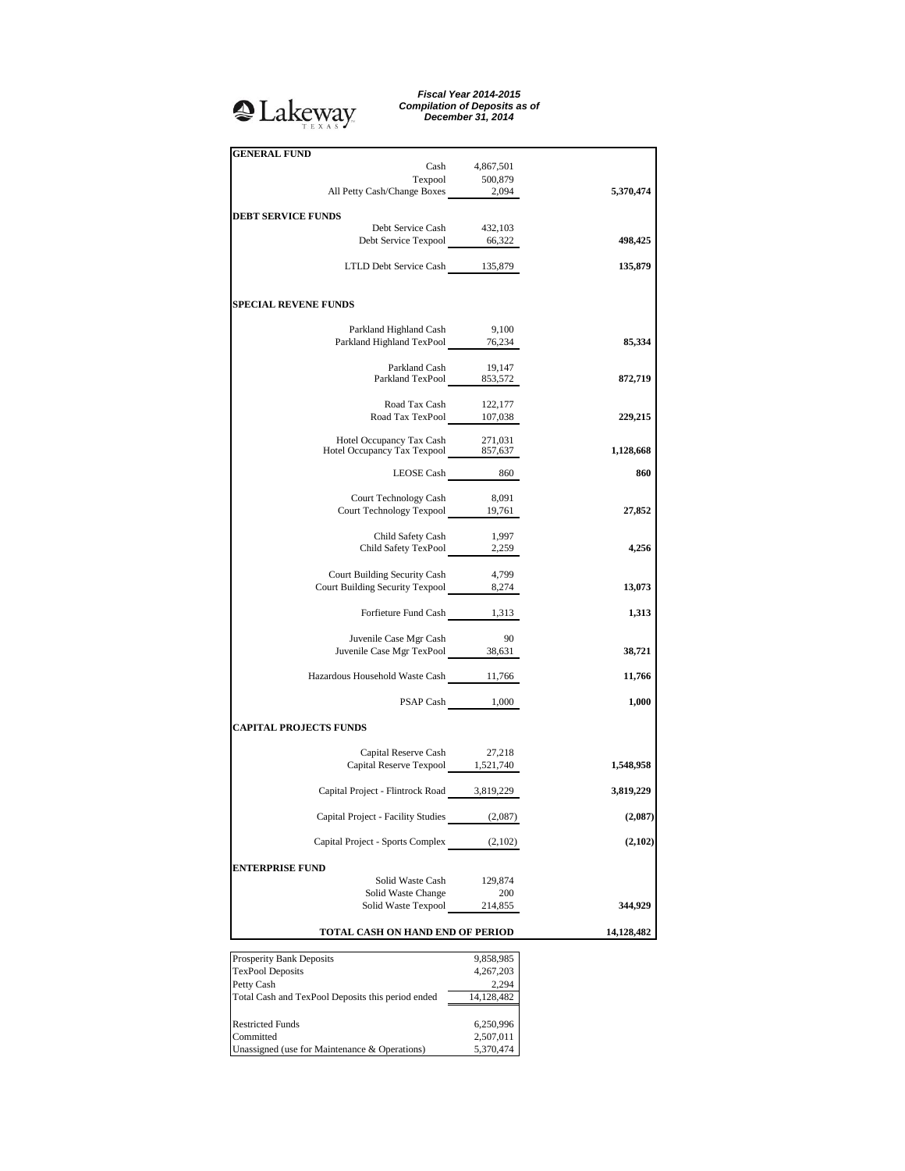# <sup>2</sup>Lakeway

*Fiscal Year 2014-2015 Compilation of Deposits as of December 31, 2014*

| <b>GENERAL FUND</b>                                                     |                 |            |
|-------------------------------------------------------------------------|-----------------|------------|
|                                                                         | Cash 4,867,501  |            |
| Texpool 500,879<br>All Petty Cash/Change Boxes 2,094                    |                 |            |
|                                                                         |                 | 5,370,474  |
| <b>DEBT SERVICE FUNDS</b>                                               |                 |            |
| Debt Service Cash 432,103<br>Debt Service Texpool 66,322                |                 |            |
|                                                                         |                 | 498,425    |
| LTLD Debt Service Cash 135,879                                          |                 | 135,879    |
| <b>SPECIAL REVENE FUNDS</b>                                             |                 |            |
| Parkland Highland Cash 9,100                                            |                 |            |
| Parkland Highland TexPool 76,234                                        |                 | 85,334     |
|                                                                         |                 |            |
| Parkland Cash 19,147<br>Parkland TexPool 853,572                        |                 |            |
|                                                                         |                 | 872,719    |
|                                                                         |                 |            |
| Road Tax Cash 122,177<br>Road Tax TexPool 107,038                       |                 | 229,215    |
|                                                                         |                 |            |
| Hotel Occupancy Tax Cash 271,031<br>Hotel Occupancy Tax Texpool 857,637 |                 | 1,128,668  |
|                                                                         |                 |            |
| $\begin{tabular}{cc} \bf LEOSE Cash & \tt 860 \\ \end{tabular}$         |                 | 860        |
|                                                                         |                 |            |
| Court Technology Cash<br>Court Technology Texpool 19,761                | 8,091           | 27,852     |
|                                                                         |                 |            |
| Child Safety Cash                                                       | 1,997           |            |
| Child Safety TexPool 2,259                                              |                 | 4,256      |
|                                                                         |                 |            |
| Court Building Security Cash                                            | 4,799           |            |
| Court Building Security Texpool 8,274                                   |                 | 13,073     |
| Forfieture Fund Cash 1,313                                              |                 | 1,313      |
|                                                                         |                 |            |
| Juvenile Case Mgr Cash                                                  | 90              |            |
| Juvenile Case Mgr TexPool 38,631                                        |                 | 38,721     |
| Hazardous Household Waste Cash 11,766                                   |                 | 11,766     |
|                                                                         | PSAP Cash 1,000 | 1,000      |
| <b>CAPITAL PROJECTS FUNDS</b>                                           |                 |            |
|                                                                         |                 |            |
| Capital Reserve Cash 27,218<br>Capital Reserve Texpool 1,521,740        |                 | 1,548,958  |
| Capital Project - Flintrock Road 3,819,229                              |                 | 3,819,229  |
| Capital Project - Facility Studies                                      | (2,087)         | (2,087)    |
| Capital Project - Sports Complex                                        | (2,102)         | (2,102)    |
|                                                                         |                 |            |
| <b>ENTERPRISE FUND</b><br>Solid Waste Cash                              | 129,874         |            |
| Solid Waste Change                                                      | 200             |            |
| Solid Waste Texpool                                                     | 214,855         | 344,929    |
| TOTAL CASH ON HAND END OF PERIOD                                        |                 | 14,128,482 |
|                                                                         |                 |            |
| Prosperity Bank Deposits                                                | 9,858,985       |            |
| <b>TexPool Deposits</b>                                                 | 4,267,203       |            |
| Petty Cash                                                              | 2,294           |            |

| 1100                                              | ,,,,,,,,,  |
|---------------------------------------------------|------------|
| <b>TexPool Deposits</b>                           | 4,267,203  |
| Petty Cash                                        | 2.294      |
| Total Cash and TexPool Deposits this period ended | 14,128,482 |
|                                                   |            |
| <b>Restricted Funds</b>                           | 6,250,996  |
| Committed                                         | 2,507,011  |
| Unassigned (use for Maintenance & Operations)     | 5,370,474  |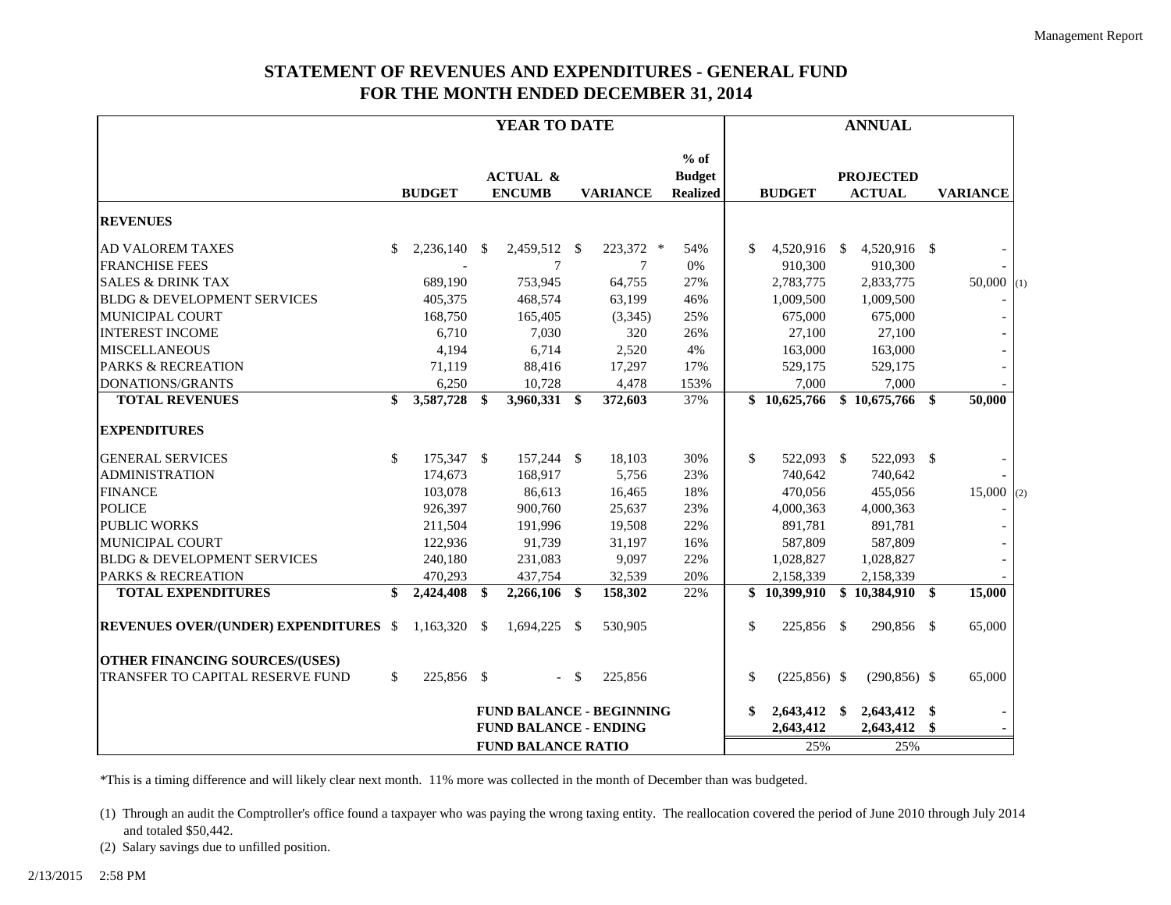## **STATEMENT OF REVENUES AND EXPENDITURES - GENERAL FUND FOR THE MONTH ENDED DECEMBER 31, 2014**

|                                              | YEAR TO DATE                 |                |    |                                      |      |                                 | <b>ANNUAL</b>                              |              |                |  |                                   |     |                         |     |
|----------------------------------------------|------------------------------|----------------|----|--------------------------------------|------|---------------------------------|--------------------------------------------|--------------|----------------|--|-----------------------------------|-----|-------------------------|-----|
|                                              |                              | <b>BUDGET</b>  |    | <b>ACTUAL &amp;</b><br><b>ENCUMB</b> |      | <b>VARIANCE</b>                 | $%$ of<br><b>Budget</b><br><b>Realized</b> |              | <b>BUDGET</b>  |  | <b>PROJECTED</b><br><b>ACTUAL</b> |     | <b>VARIANCE</b>         |     |
| <b>REVENUES</b>                              |                              |                |    |                                      |      |                                 |                                            |              |                |  |                                   |     |                         |     |
| <b>AD VALOREM TAXES</b>                      | \$                           | 2,236,140 \$   |    | 2,459,512 \$                         |      | 223,372 *                       | 54%                                        | \$           | 4,520,916 \$   |  | 4,520,916 \$                      |     |                         |     |
| <b>FRANCHISE FEES</b>                        |                              |                |    | 7                                    |      | 7                               | 0%                                         |              | 910,300        |  | 910,300                           |     |                         |     |
| <b>SALES &amp; DRINK TAX</b>                 |                              | 689,190        |    | 753,945                              |      | 64,755                          | 27%                                        |              | 2,783,775      |  | 2,833,775                         |     | $50,000$ <sub>(1)</sub> |     |
| <b>BLDG &amp; DEVELOPMENT SERVICES</b>       |                              | 405,375        |    | 468,574                              |      | 63,199                          | 46%                                        |              | 1,009,500      |  | 1,009,500                         |     |                         |     |
| <b>MUNICIPAL COURT</b>                       |                              | 168,750        |    | 165,405                              |      | (3,345)                         | 25%                                        |              | 675,000        |  | 675,000                           |     |                         |     |
| <b>INTEREST INCOME</b>                       |                              | 6,710          |    | 7,030                                |      | 320                             | 26%                                        |              | 27,100         |  | 27,100                            |     |                         |     |
| <b>MISCELLANEOUS</b>                         |                              | 4,194          |    | 6,714                                |      | 2,520                           | 4%                                         |              | 163,000        |  | 163,000                           |     |                         |     |
| <b>PARKS &amp; RECREATION</b>                |                              | 71,119         |    | 88,416                               |      | 17,297                          | 17%                                        |              | 529,175        |  | 529,175                           |     |                         |     |
| DONATIONS/GRANTS                             |                              | 6,250          |    | 10,728                               |      | 4,478                           | 153%                                       |              | 7,000          |  | 7,000                             |     |                         |     |
| <b>TOTAL REVENUES</b>                        | \$                           | 3,587,728      | \$ | 3,960,331 \$                         |      | 372,603                         | 37%                                        |              | \$10,625,766   |  | \$10,675,766                      | \$  | 50,000                  |     |
| <b>EXPENDITURES</b>                          |                              |                |    |                                      |      |                                 |                                            |              |                |  |                                   |     |                         |     |
| <b>GENERAL SERVICES</b>                      | \$                           | 175,347 \$     |    | 157,244 \$                           |      | 18,103                          | 30%                                        | $\mathbb{S}$ | 522,093 \$     |  | 522,093 \$                        |     |                         |     |
| <b>ADMINISTRATION</b>                        |                              | 174,673        |    | 168,917                              |      | 5,756                           | 23%                                        |              | 740,642        |  | 740,642                           |     |                         |     |
| <b>FINANCE</b>                               |                              | 103,078        |    | 86,613                               |      | 16,465                          | 18%                                        |              | 470.056        |  | 455,056                           |     | 15,000                  | (2) |
| <b>POLICE</b>                                |                              | 926,397        |    | 900,760                              |      | 25,637                          | 23%                                        |              | 4,000,363      |  | 4,000,363                         |     |                         |     |
| <b>PUBLIC WORKS</b>                          |                              | 211,504        |    | 191,996                              |      | 19,508                          | 22%                                        |              | 891,781        |  | 891,781                           |     |                         |     |
| <b>MUNICIPAL COURT</b>                       |                              | 122,936        |    | 91,739                               |      | 31,197                          | 16%                                        |              | 587,809        |  | 587,809                           |     |                         |     |
| <b>BLDG &amp; DEVELOPMENT SERVICES</b>       |                              | 240,180        |    | 231,083                              |      | 9,097                           | 22%                                        |              | 1,028,827      |  | 1,028,827                         |     |                         |     |
| <b>PARKS &amp; RECREATION</b>                |                              | 470,293        |    | 437,754                              |      | 32,539                          | 20%                                        |              | 2,158,339      |  | 2,158,339                         |     |                         |     |
| <b>TOTAL EXPENDITURES</b>                    | \$                           | 2,424,408      | \$ | 2,266,106 \$                         |      | 158,302                         | 22%                                        |              | \$10,399,910   |  | \$10,384,910                      | \$. | 15,000                  |     |
| <b>REVENUES OVER/(UNDER) EXPENDITURES \$</b> |                              | $1,163,320$ \$ |    | $1,694,225$ \$                       |      | 530,905                         |                                            | \$           | 225,856 \$     |  | 290,856 \$                        |     | 65,000                  |     |
| <b>OTHER FINANCING SOURCES/(USES)</b>        |                              |                |    |                                      |      |                                 |                                            |              |                |  |                                   |     |                         |     |
| TRANSFER TO CAPITAL RESERVE FUND             | \$                           | 225,856 \$     |    |                                      | $-5$ | 225,856                         |                                            | \$           | $(225,856)$ \$ |  | $(290, 856)$ \$                   |     | 65,000                  |     |
|                                              |                              |                |    |                                      |      | <b>FUND BALANCE - BEGINNING</b> |                                            | \$           | 2,643,412 \$   |  | 2,643,412 \$                      |     |                         |     |
|                                              | <b>FUND BALANCE - ENDING</b> |                |    |                                      |      |                                 |                                            |              | 2,643,412      |  | 2,643,412                         | \$  |                         |     |
|                                              |                              |                |    | <b>FUND BALANCE RATIO</b>            |      |                                 |                                            |              | 25%            |  | 25%                               |     |                         |     |

\*This is a timing difference and will likely clear next month. 11% more was collected in the month of December than was budgeted.

(1) Through an audit the Comptroller's office found a taxpayer who was paying the wrong taxing entity. The reallocation covered the period of June 2010 through July 2014 and totaled \$50,442.

(2) Salary savings due to unfilled position.